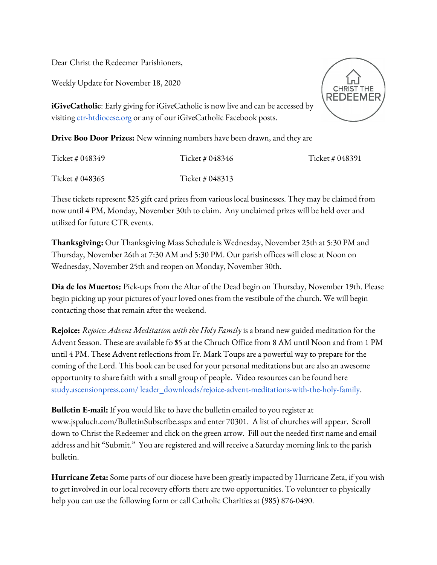Dear Christ the Redeemer Parishioners,

Weekly Update for November 18, 2020

REDEEME

**iGiveCatholic**: Early giving for iGiveCatholic is now live and can be accessed by visiting [ctr-htdiocese.org](http://ctr-htdiocese.org/) or any of our iGiveCatholic Facebook posts.

**Drive Boo Door Prizes:** New winning numbers have been drawn, and they are

| Ticket # 048349 | Ticket # 048346 | Ticket # 048391 |
|-----------------|-----------------|-----------------|
| Ticket # 048365 | Ticket # 048313 |                 |

These tickets represent \$25 gift card prizes from various local businesses. They may be claimed from now until 4 PM, Monday, November 30th to claim. Any unclaimed prizes will be held over and utilized for future CTR events.

**Thanksgiving:** Our Thanksgiving Mass Schedule is Wednesday, November 25th at 5:30 PM and Thursday, November 26th at 7:30 AM and 5:30 PM. Our parish offices will close at Noon on Wednesday, November 25th and reopen on Monday, November 30th.

**Dia de los Muertos:** Pick-ups from the Altar of the Dead begin on Thursday, November 19th. Please begin picking up your pictures of your loved ones from the vestibule of the church. We will begin contacting those that remain after the weekend.

**Rejoice:** *Rejoice: Advent Meditation with the Holy Family* is a brand new guided meditation for the Advent Season. These are available fo \$5 at the Chruch Office from 8 AM until Noon and from 1 PM until 4 PM. These Advent reflections from Fr. Mark Toups are a powerful way to prepare for the coming of the Lord. This book can be used for your personal meditations but are also an awesome opportunity to share faith with a small group of people. Video resources can be found here [study.ascensionpress.com/ leader\\_downloads/rejoice-advent-meditations-with-the-holy-family.](http://study.ascensionpress.com/%20leader_downloads/rejoice-advent-meditations-with-the-holy-family)

**Bulletin E-mail:** If you would like to have the bulletin emailed to you register at [www.jspaluch.com/BulletinSubscribe.aspx](http://www.jspaluch.com/BulletinSubscribe.aspx) and enter 70301. A list of churches will appear. Scroll down to Christ the Redeemer and click on the green arrow. Fill out the needed first name and email address and hit "Submit." You are registered and will receive a Saturday morning link to the parish bulletin.

**Hurricane Zeta:** Some parts of our diocese have been greatly impacted by Hurricane Zeta, if you wish to get involved in our local recovery efforts there are two opportunities. To volunteer to physically help you can use the following form or call Catholic Charities at (985) 876-0490.